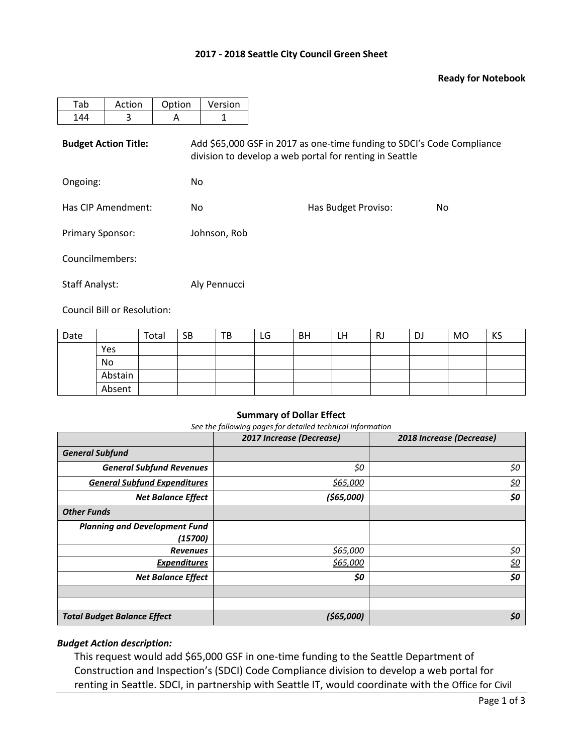## **2017 - 2018 Seattle City Council Green Sheet**

## **Ready for Notebook**

| Tab                         | Action | Option | Version                                                                                                                           |                     |    |  |  |  |  |
|-----------------------------|--------|--------|-----------------------------------------------------------------------------------------------------------------------------------|---------------------|----|--|--|--|--|
| 144                         | 3      | A      | 1                                                                                                                                 |                     |    |  |  |  |  |
| <b>Budget Action Title:</b> |        |        | Add \$65,000 GSF in 2017 as one-time funding to SDCI's Code Compliance<br>division to develop a web portal for renting in Seattle |                     |    |  |  |  |  |
| Ongoing:                    |        | No.    |                                                                                                                                   |                     |    |  |  |  |  |
| Has CIP Amendment:          |        | No.    |                                                                                                                                   | Has Budget Proviso: | No |  |  |  |  |
| <b>Primary Sponsor:</b>     |        |        | Johnson, Rob                                                                                                                      |                     |    |  |  |  |  |
| Councilmembers:             |        |        |                                                                                                                                   |                     |    |  |  |  |  |
| <b>Staff Analyst:</b>       |        |        | Aly Pennucci                                                                                                                      |                     |    |  |  |  |  |

Council Bill or Resolution:

| Date |         | Total | <b>SB</b> | TB | LG | <b>BH</b> | LH | RJ | DJ | <b>MO</b> | KS |
|------|---------|-------|-----------|----|----|-----------|----|----|----|-----------|----|
|      | Yes     |       |           |    |    |           |    |    |    |           |    |
|      | No      |       |           |    |    |           |    |    |    |           |    |
|      | Abstain |       |           |    |    |           |    |    |    |           |    |
|      | Absent  |       |           |    |    |           |    |    |    |           |    |

#### **Summary of Dollar Effect**

*See the following pages for detailed technical information*

|                                      | 2017 Increase (Decrease) | 2018 Increase (Decrease) |
|--------------------------------------|--------------------------|--------------------------|
| <b>General Subfund</b>               |                          |                          |
| <b>General Subfund Revenues</b>      | \$0                      | \$0                      |
| <b>General Subfund Expenditures</b>  | \$65,000                 | <u>\$0</u>               |
| <b>Net Balance Effect</b>            | (\$65,000)               | \$0                      |
| <b>Other Funds</b>                   |                          |                          |
| <b>Planning and Development Fund</b> |                          |                          |
| (15700)                              |                          |                          |
| <b>Revenues</b>                      | \$65,000                 | \$0                      |
| <b>Expenditures</b>                  | \$65,000                 | <u>\$0</u>               |
| <b>Net Balance Effect</b>            | \$0                      | \$0                      |
|                                      |                          |                          |
|                                      |                          |                          |
| <b>Total Budget Balance Effect</b>   | (565,000)                | \$0                      |

## *Budget Action description:*

This request would add \$65,000 GSF in one-time funding to the Seattle Department of Construction and Inspection's (SDCI) Code Compliance division to develop a web portal for renting in Seattle. SDCI, in partnership with Seattle IT, would coordinate with the Office for Civil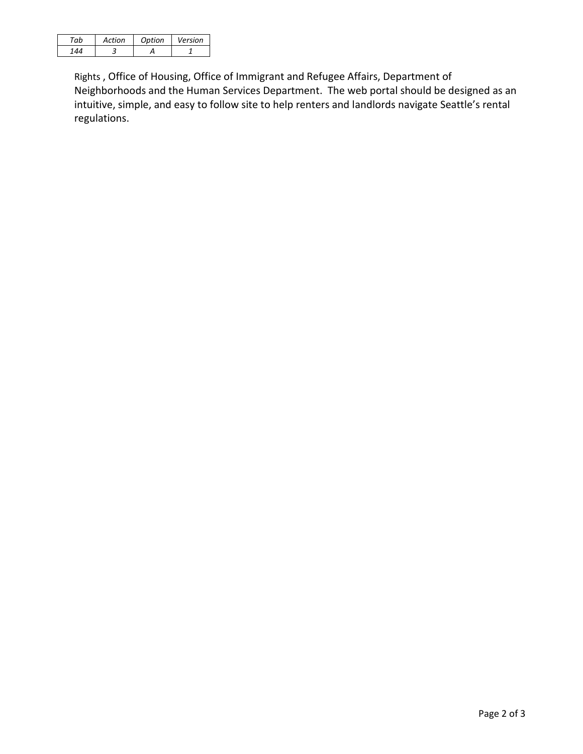| πh | Action | Option | Version |
|----|--------|--------|---------|
|    |        |        |         |

Rights , Office of Housing, Office of Immigrant and Refugee Affairs, Department of Neighborhoods and the Human Services Department. The web portal should be designed as an intuitive, simple, and easy to follow site to help renters and landlords navigate Seattle's rental regulations.